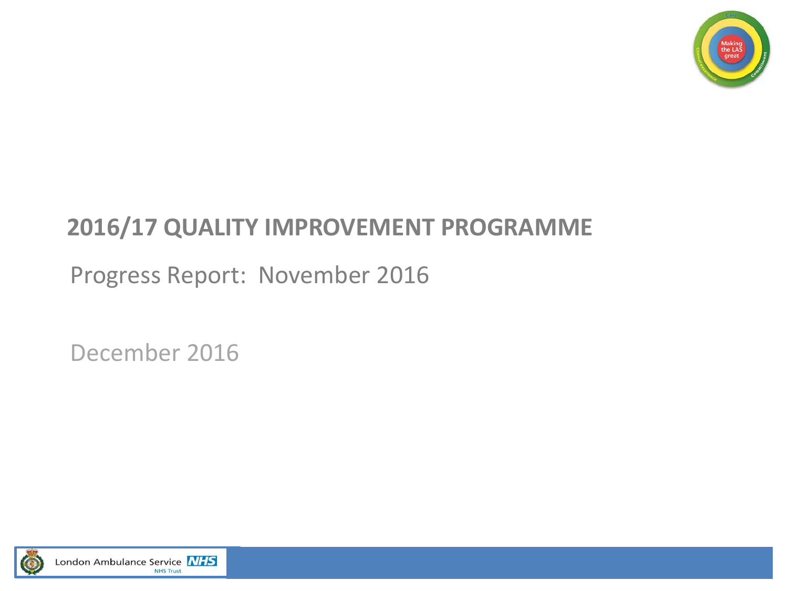

### **2016/17 QUALITY IMPROVEMENT PROGRAMME**

### Progress Report: November 2016

December 2016

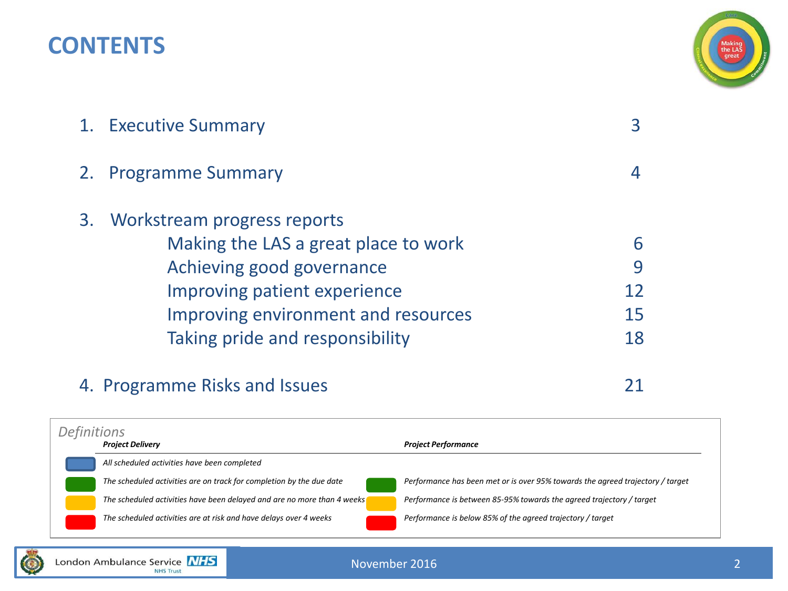### **CONTENTS**



| 1. Executive Summary                 |    |
|--------------------------------------|----|
| 2. Programme Summary                 |    |
| 3. Workstream progress reports       |    |
| Making the LAS a great place to work | 6  |
| Achieving good governance            | 9  |
| Improving patient experience         | 12 |
| Improving environment and resources  | 15 |
| Taking pride and responsibility      | 18 |
|                                      |    |

### 4. Programme Risks and Issues 21

*Project Delivery Project Performance All scheduled activities have been completed The scheduled activities are on track for completion by the due date Performance has been met or is over 95% towards the agreed trajectory / target The scheduled activities have been delayed and are no more than 4 weeks Performance is between 85-95% towards the agreed trajectory / target The scheduled activities are at risk and have delays over 4 weeks Performance is below 85% of the agreed trajectory / target Definitions*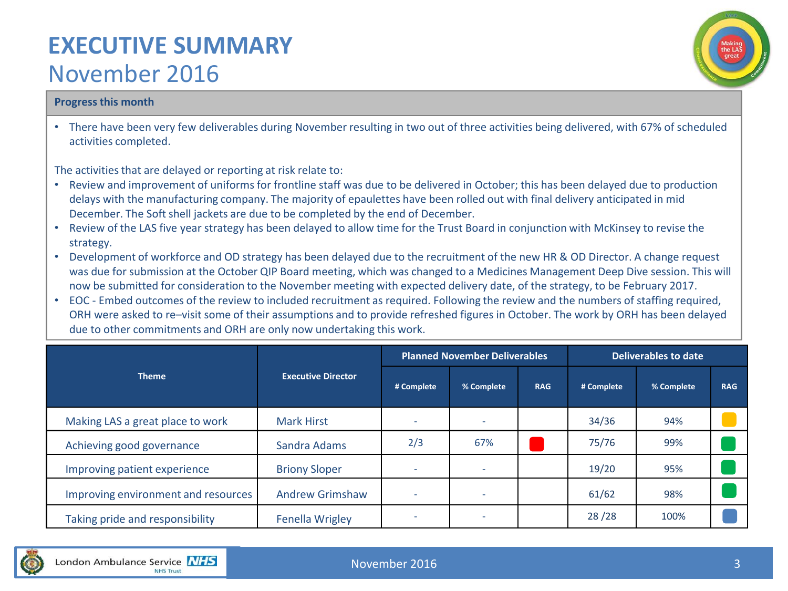### **EXECUTIVE SUMMARY**  November 2016



#### **Progress this month**

• There have been very few deliverables during November resulting in two out of three activities being delivered, with 67% of scheduled activities completed.

The activities that are delayed or reporting at risk relate to:

- Review and improvement of uniforms for frontline staff was due to be delivered in October; this has been delayed due to production delays with the manufacturing company. The majority of epaulettes have been rolled out with final delivery anticipated in mid December. The Soft shell jackets are due to be completed by the end of December.
- Review of the LAS five year strategy has been delayed to allow time for the Trust Board in conjunction with McKinsey to revise the strategy.
- Development of workforce and OD strategy has been delayed due to the recruitment of the new HR & OD Director. A change request was due for submission at the October QIP Board meeting, which was changed to a Medicines Management Deep Dive session. This will now be submitted for consideration to the November meeting with expected delivery date, of the strategy, to be February 2017.
- EOC Embed outcomes of the review to included recruitment as required. Following the review and the numbers of staffing required, ORH were asked to re–visit some of their assumptions and to provide refreshed figures in October. The work by ORH has been delayed due to other commitments and ORH are only now undertaking this work.

|                                     |                           |                          | <b>Planned November Deliverables</b> |            | <b>Deliverables to date</b> |            |            |  |
|-------------------------------------|---------------------------|--------------------------|--------------------------------------|------------|-----------------------------|------------|------------|--|
| <b>Theme</b>                        | <b>Executive Director</b> | # Complete               | % Complete                           | <b>RAG</b> | # Complete                  | % Complete | <b>RAG</b> |  |
| Making LAS a great place to work    | <b>Mark Hirst</b>         |                          |                                      |            | 34/36                       | 94%        |            |  |
| Achieving good governance           | Sandra Adams              | 2/3                      | 67%                                  |            | 75/76                       | 99%        |            |  |
| Improving patient experience        | <b>Briony Sloper</b>      | $\overline{\phantom{a}}$ | $\overline{\phantom{a}}$             |            | 19/20                       | 95%        |            |  |
| Improving environment and resources | <b>Andrew Grimshaw</b>    | -                        | $\overline{\phantom{a}}$             |            | 61/62                       | 98%        |            |  |
| Taking pride and responsibility     | <b>Fenella Wrigley</b>    | -                        | $\overline{\phantom{a}}$             |            | 28/28                       | 100%       |            |  |

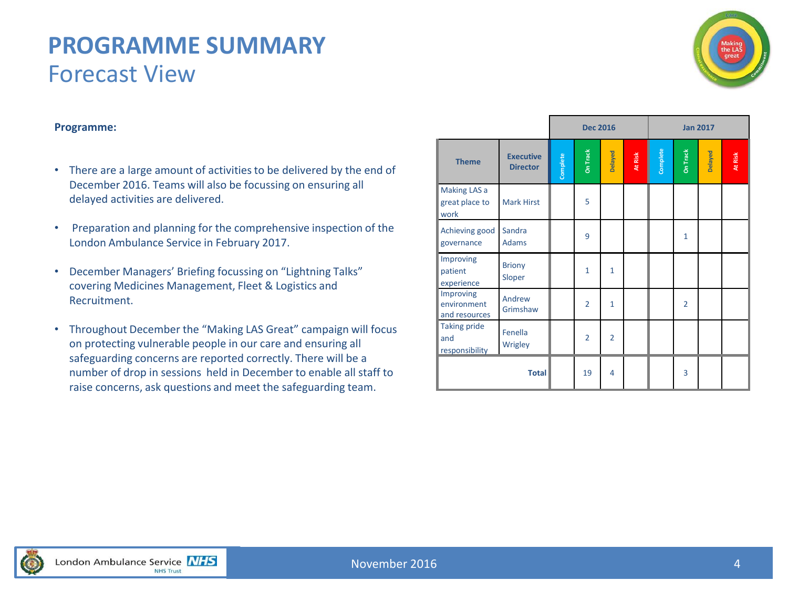### **PROGRAMME SUMMARY** Forecast View



#### **Programme:**

- There are a large amount of activities to be delivered by the end of December 2016. Teams will also be focussing on ensuring all delayed activities are delivered.
- Preparation and planning for the comprehensive inspection of the London Ambulance Service in February 2017.
- December Managers' Briefing focussing on "Lightning Talks" covering Medicines Management, Fleet & Logistics and Recruitment.
- Throughout December the "Making LAS Great" campaign will focus on protecting vulnerable people in our care and ensuring all safeguarding concerns are reported correctly. There will be a number of drop in sessions held in December to enable all staff to raise concerns, ask questions and meet the safeguarding team.

|                                              |                                     | <b>Dec 2016</b><br><b>Jan 2017</b> |                 |                |         |               |                |         |         |
|----------------------------------------------|-------------------------------------|------------------------------------|-----------------|----------------|---------|---------------|----------------|---------|---------|
| <b>Theme</b>                                 | <b>Executive</b><br><b>Director</b> | Complete                           | <b>On Track</b> | Delayed        | At Risk | Complete<br>I | On Track       | Delayed | At Risk |
| Making LAS a<br>great place to<br>work       | <b>Mark Hirst</b>                   |                                    | 5               |                |         |               |                |         |         |
| Achieving good<br>governance                 | Sandra<br><b>Adams</b>              |                                    | 9               |                |         |               | $\mathbf{1}$   |         |         |
| Improving<br>patient<br>experience           | <b>Briony</b><br>Sloper             |                                    | $\mathbf{1}$    | $\mathbf{1}$   |         |               |                |         |         |
| Improving<br>environment<br>and resources    | Andrew<br>Grimshaw                  |                                    | $\overline{2}$  | $\overline{1}$ |         |               | $\overline{2}$ |         |         |
| <b>Taking pride</b><br>and<br>responsibility | Fenella<br>Wrigley                  |                                    | $\overline{2}$  | $\overline{2}$ |         |               |                |         |         |
|                                              | <b>Total</b>                        |                                    | 19              | $\overline{4}$ |         |               | 3              |         |         |

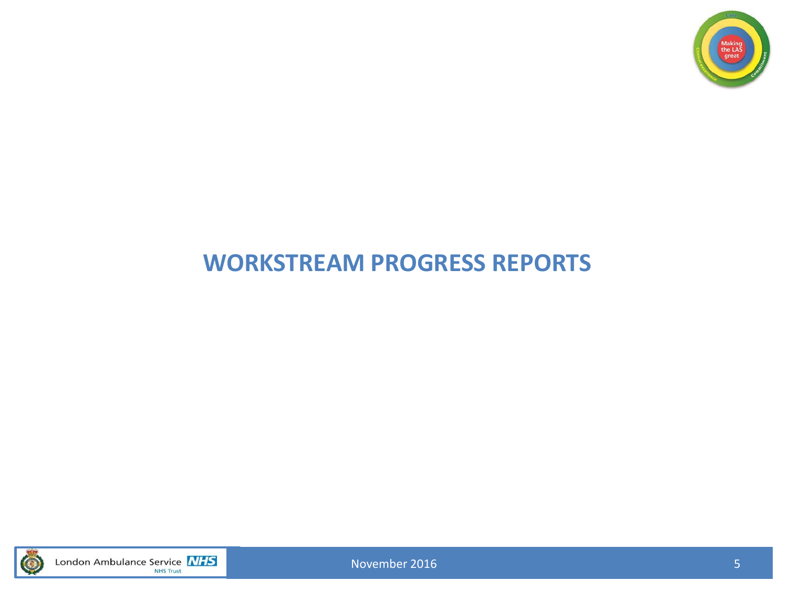

### **WORKSTREAM PROGRESS REPORTS**



London Ambulance Service **NHS** 

November 2016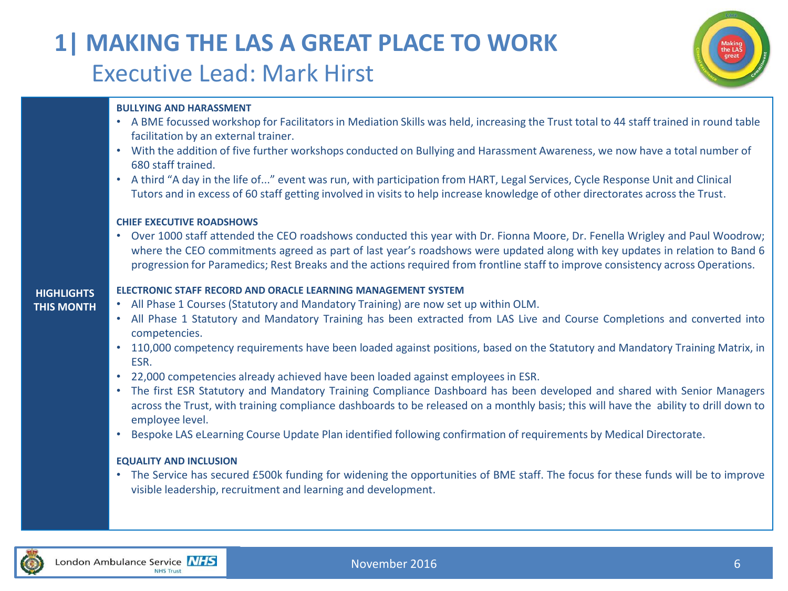### **1| MAKING THE LAS A GREAT PLACE TO WORK** Executive Lead: Mark Hirst



#### **BULLYING AND HARASSMENT**

- A BME focussed workshop for Facilitators in Mediation Skills was held, increasing the Trust total to 44 staff trained in round table facilitation by an external trainer.
- With the addition of five further workshops conducted on Bullying and Harassment Awareness, we now have a total number of 680 staff trained.
- A third "A day in the life of..." event was run, with participation from HART, Legal Services, Cycle Response Unit and Clinical Tutors and in excess of 60 staff getting involved in visits to help increase knowledge of other directorates across the Trust.

#### **CHIEF EXECUTIVE ROADSHOWS**

• Over 1000 staff attended the CEO roadshows conducted this year with Dr. Fionna Moore, Dr. Fenella Wrigley and Paul Woodrow; where the CEO commitments agreed as part of last year's roadshows were updated along with key updates in relation to Band 6 progression for Paramedics; Rest Breaks and the actionsrequired from frontline staff to improve consistency across Operations.

#### **ELECTRONIC STAFF RECORD AND ORACLE LEARNING MANAGEMENT SYSTEM**

- All Phase 1 Courses (Statutory and Mandatory Training) are now set up within OLM.
- All Phase 1 Statutory and Mandatory Training has been extracted from LAS Live and Course Completions and converted into competencies.
- 110,000 competency requirements have been loaded against positions, based on the Statutory and Mandatory Training Matrix, in ESR.
- 22,000 competencies already achieved have been loaded against employeesin ESR.
- The first ESR Statutory and Mandatory Training Compliance Dashboard has been developed and shared with Senior Managers across the Trust, with training compliance dashboards to be released on a monthly basis; this will have the ability to drill down to employee level.
- Bespoke LAS eLearning Course Update Plan identified following confirmation of requirements by Medical Directorate.

#### **EQUALITY AND INCLUSION**

• The Service has secured £500k funding for widening the opportunities of BME staff. The focus for these funds will be to improve visible leadership, recruitment and learning and development.



**HIGHLIGHTS THIS MONTH**

#### November 2016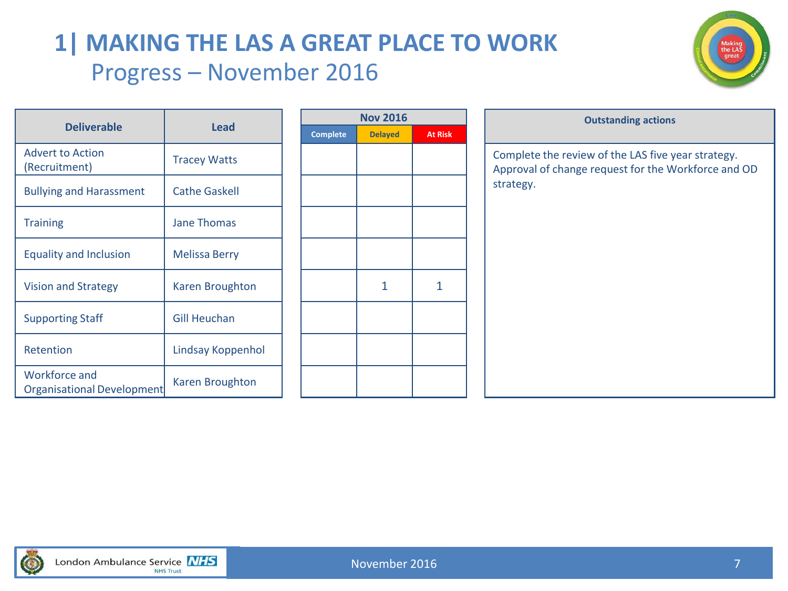### **1| MAKING THE LAS A GREAT PLACE TO WORK** Progress – November 2016



| <b>Deliverable</b>                          |                      |  |                 |                |                |                     |
|---------------------------------------------|----------------------|--|-----------------|----------------|----------------|---------------------|
|                                             | <b>Lead</b>          |  | <b>Complete</b> | <b>Delayed</b> | <b>At Risk</b> |                     |
| <b>Advert to Action</b><br>(Recruitment)    | <b>Tracey Watts</b>  |  |                 |                |                | Complet<br>Approval |
| <b>Bullying and Harassment</b>              | <b>Cathe Gaskell</b> |  |                 |                |                | strategy.           |
| <b>Training</b>                             | <b>Jane Thomas</b>   |  |                 |                |                |                     |
| <b>Equality and Inclusion</b>               | <b>Melissa Berry</b> |  |                 |                |                |                     |
| <b>Vision and Strategy</b>                  | Karen Broughton      |  |                 | 1              | 1              |                     |
| <b>Supporting Staff</b>                     | <b>Gill Heuchan</b>  |  |                 |                |                |                     |
| Retention                                   | Lindsay Koppenhol    |  |                 |                |                |                     |
| Workforce and<br>Organisational Development | Karen Broughton      |  |                 |                |                |                     |

| <b>Nov 2016</b> |                |                |  |  |  |  |  |  |
|-----------------|----------------|----------------|--|--|--|--|--|--|
| <b>Complete</b> | <b>Delayed</b> | <b>At Risk</b> |  |  |  |  |  |  |
|                 |                |                |  |  |  |  |  |  |
|                 |                |                |  |  |  |  |  |  |
|                 |                |                |  |  |  |  |  |  |
|                 |                |                |  |  |  |  |  |  |
|                 |                |                |  |  |  |  |  |  |
|                 |                |                |  |  |  |  |  |  |
|                 |                |                |  |  |  |  |  |  |
|                 |                |                |  |  |  |  |  |  |
|                 | 1              | 1              |  |  |  |  |  |  |
|                 |                |                |  |  |  |  |  |  |
|                 |                |                |  |  |  |  |  |  |
|                 |                |                |  |  |  |  |  |  |
|                 |                |                |  |  |  |  |  |  |
|                 |                |                |  |  |  |  |  |  |
|                 |                |                |  |  |  |  |  |  |

|                                                           |                        |  | <b>Nov 2016</b> |                |                | <b>Outstanding actions</b>                                                                                |
|-----------------------------------------------------------|------------------------|--|-----------------|----------------|----------------|-----------------------------------------------------------------------------------------------------------|
| <b>Deliverable</b>                                        | Lead                   |  | <b>Complete</b> | <b>Delayed</b> | <b>At Risk</b> |                                                                                                           |
| <b>Advert to Action</b><br>(Recruitment)                  | <b>Tracey Watts</b>    |  |                 |                |                | Complete the review of the LAS five year strategy.<br>Approval of change request for the Workforce and OD |
| <b>Bullying and Harassment</b>                            | <b>Cathe Gaskell</b>   |  |                 |                |                | strategy.                                                                                                 |
| <b>Training</b>                                           | <b>Jane Thomas</b>     |  |                 |                |                |                                                                                                           |
| <b>Equality and Inclusion</b>                             | <b>Melissa Berry</b>   |  |                 |                |                |                                                                                                           |
| <b>Vision and Strategy</b>                                | Karen Broughton        |  |                 | 1              | 1              |                                                                                                           |
| <b>Supporting Staff</b>                                   | <b>Gill Heuchan</b>    |  |                 |                |                |                                                                                                           |
| Retention                                                 | Lindsay Koppenhol      |  |                 |                |                |                                                                                                           |
| <b>Workforce and</b><br>Questional du al Daviel su un sub | <b>Karen Broughton</b> |  |                 |                |                |                                                                                                           |

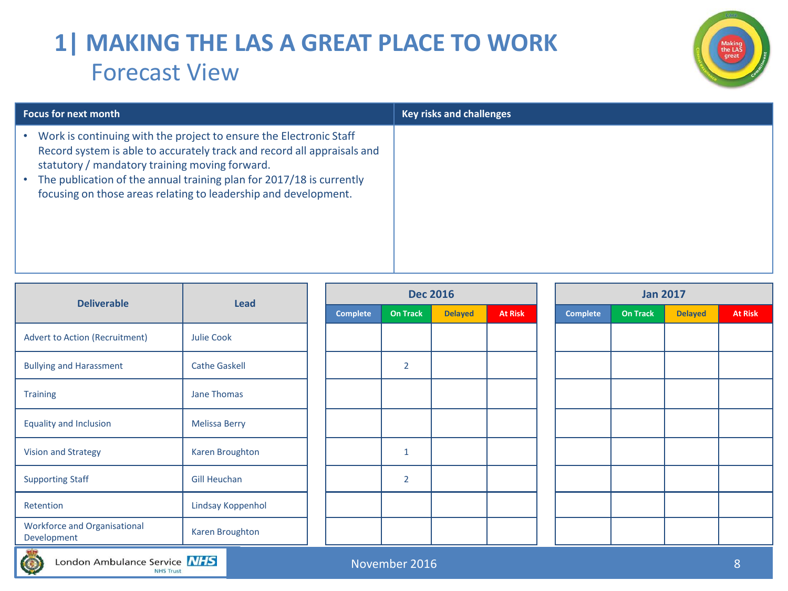### **1| MAKING THE LAS A GREAT PLACE TO WORK** Forecast View



| <b>Focus for next month</b>                                                                                                                                                                                                                                                                                                                | <b>Key risks and challenges</b> |
|--------------------------------------------------------------------------------------------------------------------------------------------------------------------------------------------------------------------------------------------------------------------------------------------------------------------------------------------|---------------------------------|
| Work is continuing with the project to ensure the Electronic Staff<br>Record system is able to accurately track and record all appraisals and<br>statutory / mandatory training moving forward.<br>The publication of the annual training plan for 2017/18 is currently<br>focusing on those areas relating to leadership and development. |                                 |

| <b>Deliverable</b>                                 | <b>Lead</b>          |                 | <b>Dec 2016</b> |                |                | <b>Jan 2017</b> |                 |                 |                |                |
|----------------------------------------------------|----------------------|-----------------|-----------------|----------------|----------------|-----------------|-----------------|-----------------|----------------|----------------|
|                                                    |                      | <b>Complete</b> | <b>On Track</b> | <b>Delayed</b> | <b>At Risk</b> |                 | <b>Complete</b> | <b>On Track</b> | <b>Delayed</b> | <b>At Risk</b> |
| <b>Advert to Action (Recruitment)</b>              | <b>Julie Cook</b>    |                 |                 |                |                |                 |                 |                 |                |                |
| <b>Bullying and Harassment</b>                     | <b>Cathe Gaskell</b> |                 | $\overline{2}$  |                |                |                 |                 |                 |                |                |
| <b>Training</b>                                    | Jane Thomas          |                 |                 |                |                |                 |                 |                 |                |                |
| <b>Equality and Inclusion</b>                      | <b>Melissa Berry</b> |                 |                 |                |                |                 |                 |                 |                |                |
| Vision and Strategy                                | Karen Broughton      |                 | $\mathbf{1}$    |                |                |                 |                 |                 |                |                |
| <b>Supporting Staff</b>                            | <b>Gill Heuchan</b>  |                 | $\overline{2}$  |                |                |                 |                 |                 |                |                |
| Retention                                          | Lindsay Koppenhol    |                 |                 |                |                |                 |                 |                 |                |                |
| <b>Workforce and Organisational</b><br>Development | Karen Broughton      |                 |                 |                |                |                 |                 |                 |                |                |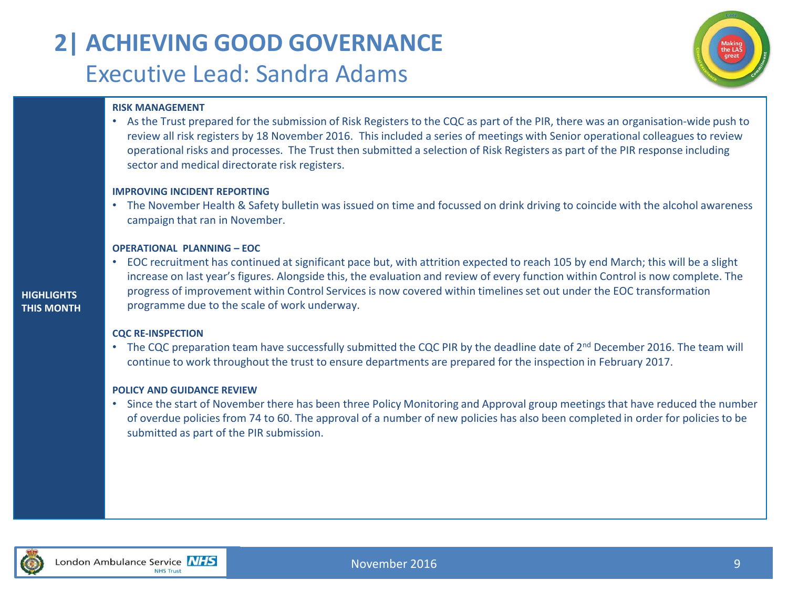## **2| ACHIEVING GOOD GOVERNANCE** Executive Lead: Sandra Adams



#### **RISK MANAGEMENT**

• As the Trust prepared for the submission of Risk Registers to the CQC as part of the PIR, there was an organisation-wide push to review all risk registers by 18 November 2016. This included a series of meetings with Senior operational colleagues to review operational risks and processes. The Trust then submitted a selection of Risk Registers as part of the PIR response including sector and medical directorate risk registers.

#### **IMPROVING INCIDENT REPORTING**

• The November Health & Safety bulletin was issued on time and focussed on drink driving to coincide with the alcohol awareness campaign that ran in November.

#### **OPERATIONAL PLANNING – EOC**

• EOC recruitment has continued at significant pace but, with attrition expected to reach 105 by end March; this will be a slight increase on last year's figures. Alongside this, the evaluation and review of every function within Control is now complete. The progress of improvement within Control Services is now covered within timelines set out under the EOC transformation programme due to the scale of work underway.

#### **CQC RE-INSPECTION**

• The CQC preparation team have successfully submitted the CQC PIR by the deadline date of 2<sup>nd</sup> December 2016. The team will continue to work throughout the trust to ensure departments are prepared for the inspection in February 2017.

#### **POLICY AND GUIDANCE REVIEW**

• Since the start of November there has been three Policy Monitoring and Approval group meetings that have reduced the number of overdue policies from 74 to 60. The approval of a number of new policies has also been completed in order for policies to be submitted as part of the PIR submission.



**HIGHLIGHTS THIS MONTH**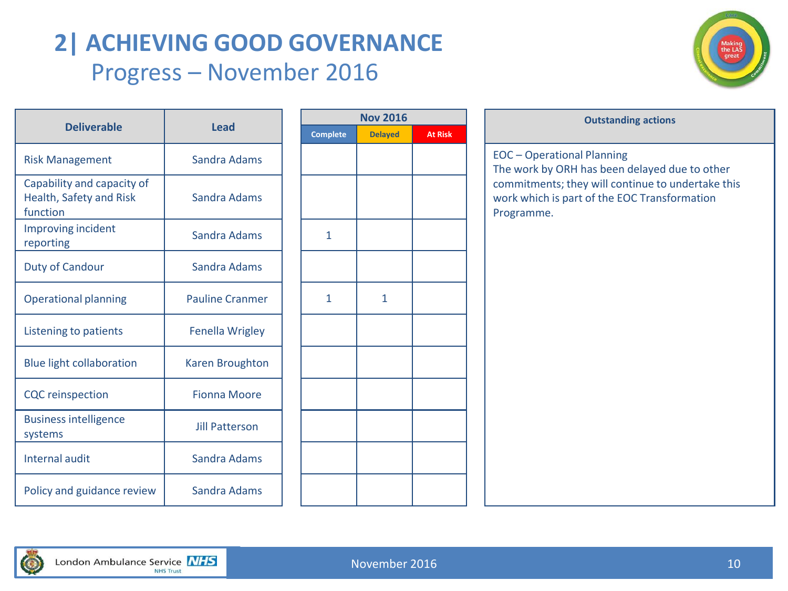### **2| ACHIEVING GOOD GOVERNANCE** Progress – November 2016



|                                                                   |                        | Nov <sub>2</sub> |              |  |  |
|-------------------------------------------------------------------|------------------------|------------------|--------------|--|--|
| <b>Deliverable</b>                                                | <b>Lead</b>            | <b>Complete</b>  | <b>Delay</b> |  |  |
| <b>Risk Management</b>                                            | Sandra Adams           |                  |              |  |  |
| Capability and capacity of<br>Health, Safety and Risk<br>function | Sandra Adams           |                  |              |  |  |
| Improving incident<br>reporting                                   | Sandra Adams           | $\mathbf{1}$     |              |  |  |
| <b>Duty of Candour</b>                                            | Sandra Adams           |                  |              |  |  |
| <b>Operational planning</b>                                       | <b>Pauline Cranmer</b> | 1                | 1            |  |  |
| Listening to patients                                             | <b>Fenella Wrigley</b> |                  |              |  |  |
| <b>Blue light collaboration</b>                                   | Karen Broughton        |                  |              |  |  |
| <b>CQC</b> reinspection                                           | <b>Fionna Moore</b>    |                  |              |  |  |
| <b>Business intelligence</b><br>systems                           | <b>Jill Patterson</b>  |                  |              |  |  |
| Internal audit                                                    | Sandra Adams           |                  |              |  |  |
| Policy and guidance review                                        | Sandra Adams           |                  |              |  |  |

| <b>Nov 2016</b> |                |                |  |  |  |  |  |  |  |
|-----------------|----------------|----------------|--|--|--|--|--|--|--|
| <b>Complete</b> | <b>Delayed</b> | <b>At Risk</b> |  |  |  |  |  |  |  |
|                 |                |                |  |  |  |  |  |  |  |
|                 |                |                |  |  |  |  |  |  |  |
|                 |                |                |  |  |  |  |  |  |  |
| $\mathbf{1}$    |                |                |  |  |  |  |  |  |  |
|                 |                |                |  |  |  |  |  |  |  |
| $\mathbf{1}$    | $\mathbf{1}$   |                |  |  |  |  |  |  |  |
|                 |                |                |  |  |  |  |  |  |  |
|                 |                |                |  |  |  |  |  |  |  |
|                 |                |                |  |  |  |  |  |  |  |
|                 |                |                |  |  |  |  |  |  |  |
|                 |                |                |  |  |  |  |  |  |  |
|                 |                |                |  |  |  |  |  |  |  |

### **Outstanding actions** Risk Management Sandra Adams EOC – Operational Planning The work by ORH has been delayed due to other commitments; they will continue to undertake this work which is part of the EOC Transformation Programme.

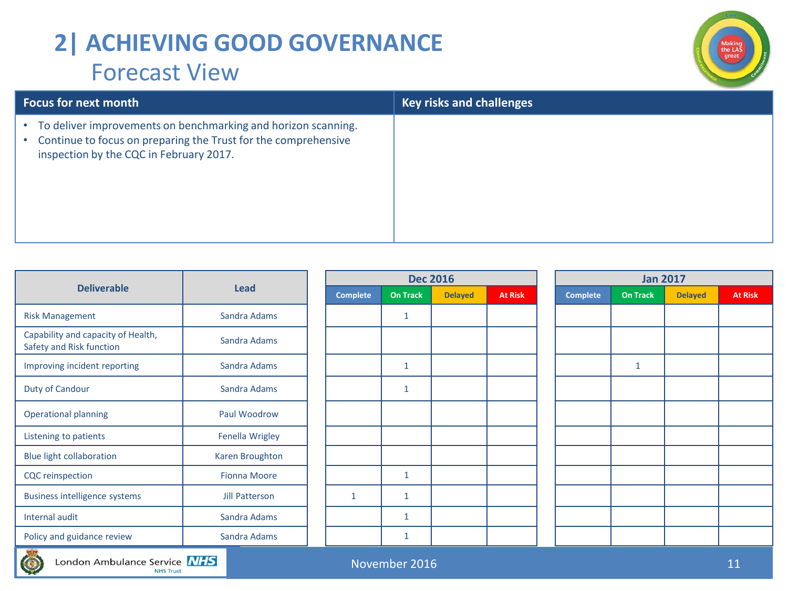### **2| ACHIEVING GOOD GOVERNANCE** Forecast View



| <b>Focus for next month</b>                                                                                                                                                             | <b>Key risks and challenges</b> |
|-----------------------------------------------------------------------------------------------------------------------------------------------------------------------------------------|---------------------------------|
| To deliver improvements on benchmarking and horizon scanning.<br>$\bullet$<br>Continue to focus on preparing the Trust for the comprehensive<br>inspection by the CQC in February 2017. |                                 |

| <b>Deliverable</b>                                             | <b>Lead</b>            | <b>Complete</b> | On Ti |
|----------------------------------------------------------------|------------------------|-----------------|-------|
| <b>Risk Management</b>                                         | Sandra Adams           |                 | 1     |
| Capability and capacity of Health,<br>Safety and Risk function | Sandra Adams           |                 |       |
| Improving incident reporting                                   | Sandra Adams           |                 | 1     |
| Duty of Candour                                                | Sandra Adams           |                 | 1     |
| <b>Operational planning</b>                                    | Paul Woodrow           |                 |       |
| Listening to patients                                          | <b>Fenella Wrigley</b> |                 |       |
| <b>Blue light collaboration</b>                                | <b>Karen Broughton</b> |                 |       |
| <b>CQC</b> reinspection                                        | <b>Fionna Moore</b>    |                 | 1     |
| <b>Business intelligence systems</b>                           | <b>Jill Patterson</b>  | $\mathbf{1}$    | 1     |
| Internal audit                                                 | Sandra Adams           |                 | 1     |
| Policy and guidance review                                     | Sandra Adams           |                 | 1     |

|                                                                | <b>Lead</b>           |                 |                 | <b>Dec 2016</b> | <b>Jan 2017</b> |                 |                 |                |                |  |
|----------------------------------------------------------------|-----------------------|-----------------|-----------------|-----------------|-----------------|-----------------|-----------------|----------------|----------------|--|
| <b>Deliverable</b>                                             |                       | <b>Complete</b> | <b>On Track</b> | <b>Delayed</b>  | <b>At Risk</b>  | <b>Complete</b> | <b>On Track</b> | <b>Delayed</b> | <b>At Risk</b> |  |
| <b>Risk Management</b>                                         | Sandra Adams          |                 | 1               |                 |                 |                 |                 |                |                |  |
| Capability and capacity of Health,<br>Safety and Risk function | Sandra Adams          |                 |                 |                 |                 |                 |                 |                |                |  |
| Improving incident reporting                                   | Sandra Adams          |                 |                 |                 |                 |                 | $\mathbf{1}$    |                |                |  |
| Duty of Candour                                                | Sandra Adams          |                 |                 |                 |                 |                 |                 |                |                |  |
| <b>Operational planning</b>                                    | Paul Woodrow          |                 |                 |                 |                 |                 |                 |                |                |  |
| Listening to patients                                          | Fenella Wrigley       |                 |                 |                 |                 |                 |                 |                |                |  |
| <b>Blue light collaboration</b>                                | Karen Broughton       |                 |                 |                 |                 |                 |                 |                |                |  |
| <b>CQC</b> reinspection                                        | <b>Fionna Moore</b>   |                 |                 |                 |                 |                 |                 |                |                |  |
| <b>Business intelligence systems</b>                           | <b>Jill Patterson</b> | $\mathbf{1}$    | $\mathbf{1}$    |                 |                 |                 |                 |                |                |  |
| <b>Internal audit</b>                                          | Sandra Adams          |                 | $\mathbf{1}$    |                 |                 |                 |                 |                |                |  |
| Policy and guidance review                                     | Sandra Adams          |                 | 1               |                 |                 |                 |                 |                |                |  |

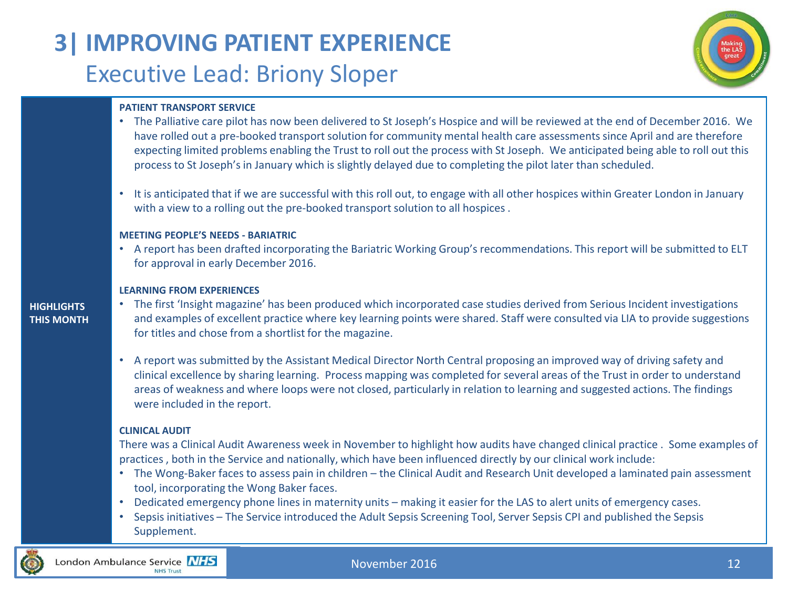# **3| IMPROVING PATIENT EXPERIENCE** Executive Lead: Briony Sloper



#### **PATIENT TRANSPORT SERVICE**

- The Palliative care pilot has now been delivered to St Joseph's Hospice and will be reviewed at the end of December 2016. We have rolled out a pre-booked transport solution for community mental health care assessments since April and are therefore expecting limited problems enabling the Trust to roll out the process with St Joseph. We anticipated being able to roll out this process to St Joseph's in January which is slightly delayed due to completing the pilot later than scheduled.
- It is anticipated that if we are successful with this roll out, to engage with all other hospices within Greater London in January with a view to a rolling out the pre-booked transport solution to all hospices.

#### **MEETING PEOPLE'S NEEDS - BARIATRIC**

• A report has been drafted incorporating the Bariatric Working Group's recommendations. This report will be submitted to ELT for approval in early December 2016.

#### **LEARNING FROM EXPERIENCES**

#### **HIGHLIGHTS THIS MONTH**

- The first 'Insight magazine' has been produced which incorporated case studies derived from Serious Incident investigations and examples of excellent practice where key learning points were shared. Staff were consulted via LIA to provide suggestions for titles and chose from a shortlist for the magazine.
- A report was submitted by the Assistant Medical Director North Central proposing an improved way of driving safety and clinical excellence by sharing learning. Process mapping was completed for several areas of the Trust in order to understand areas of weakness and where loops were not closed, particularly in relation to learning and suggested actions. The findings were included in the report.

#### **CLINICAL AUDIT**

There was a Clinical Audit Awareness week in November to highlight how audits have changed clinical practice . Some examples of practices , both in the Service and nationally, which have been influenced directly by our clinical work include:

- The Wong-Baker faces to assess pain in children the Clinical Audit and Research Unit developed a laminated pain assessment tool, incorporating the Wong Baker faces.
- Dedicated emergency phone lines in maternity units making it easier for the LAS to alert units of emergency cases.
- Sepsis initiatives The Service introduced the Adult Sepsis Screening Tool, Server Sepsis CPI and published the Sepsis Supplement.

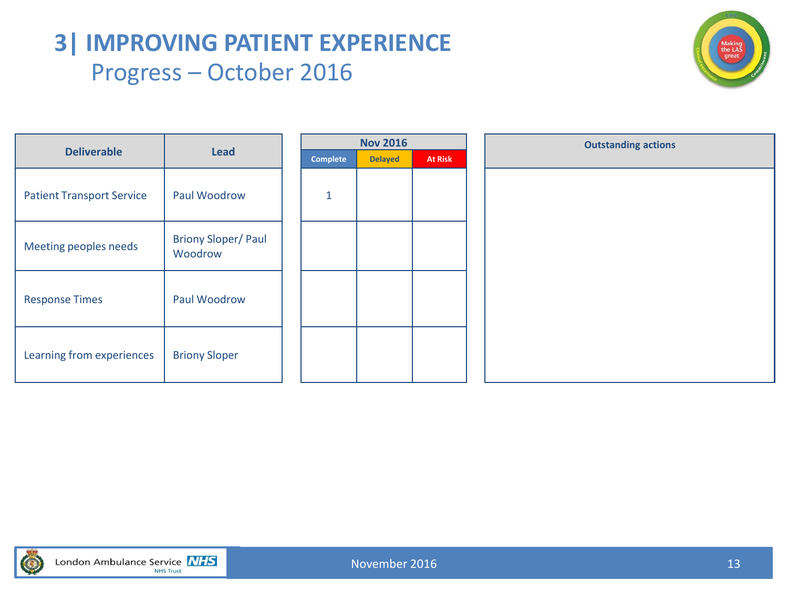### **3| IMPROVING PATIENT EXPERIENCE** Progress – October 2016



|                                  |                                       |                 | <b>Nov 2016</b> |                |  |  |  | <b>Outstanding actions</b> |
|----------------------------------|---------------------------------------|-----------------|-----------------|----------------|--|--|--|----------------------------|
| <b>Deliverable</b>               | <b>Lead</b>                           | <b>Complete</b> | <b>Delayed</b>  | <b>At Risk</b> |  |  |  |                            |
| <b>Patient Transport Service</b> | Paul Woodrow                          | $\mathbf{1}$    |                 |                |  |  |  |                            |
| Meeting peoples needs            | <b>Briony Sloper/ Paul</b><br>Woodrow |                 |                 |                |  |  |  |                            |
| <b>Response Times</b>            | Paul Woodrow                          |                 |                 |                |  |  |  |                            |
| Learning from experiences        | <b>Briony Sloper</b>                  |                 |                 |                |  |  |  |                            |

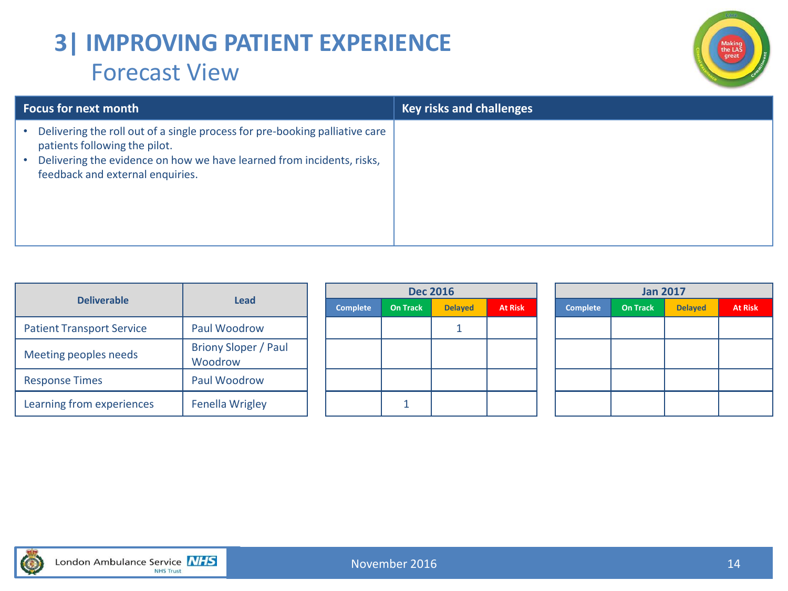### **3| IMPROVING PATIENT EXPERIENCE** Forecast View



| <b>Focus for next month</b>                                                                                                                                                                                               | <b>Key risks and challenges</b> |
|---------------------------------------------------------------------------------------------------------------------------------------------------------------------------------------------------------------------------|---------------------------------|
| Delivering the roll out of a single process for pre-booking palliative care<br>patients following the pilot.<br>Delivering the evidence on how we have learned from incidents, risks,<br>feedback and external enquiries. |                                 |

|                                  |                                        |  |          |                 | <b>Dec 2016</b> | <b>Jan 2017</b> |                 |                 |                |                |
|----------------------------------|----------------------------------------|--|----------|-----------------|-----------------|-----------------|-----------------|-----------------|----------------|----------------|
| <b>Deliverable</b>               | Lead                                   |  | Complete | <b>On Track</b> | <b>Delayed</b>  | <b>At Risk</b>  | <b>Complete</b> | <b>On Track</b> | <b>Delayed</b> | <b>At Risk</b> |
| <b>Patient Transport Service</b> | Paul Woodrow                           |  |          |                 |                 |                 |                 |                 |                |                |
| Meeting peoples needs            | <b>Briony Sloper / Paul</b><br>Woodrow |  |          |                 |                 |                 |                 |                 |                |                |
| <b>Response Times</b>            | Paul Woodrow                           |  |          |                 |                 |                 |                 |                 |                |                |
| Learning from experiences        | <b>Fenella Wrigley</b>                 |  |          |                 |                 |                 |                 |                 |                |                |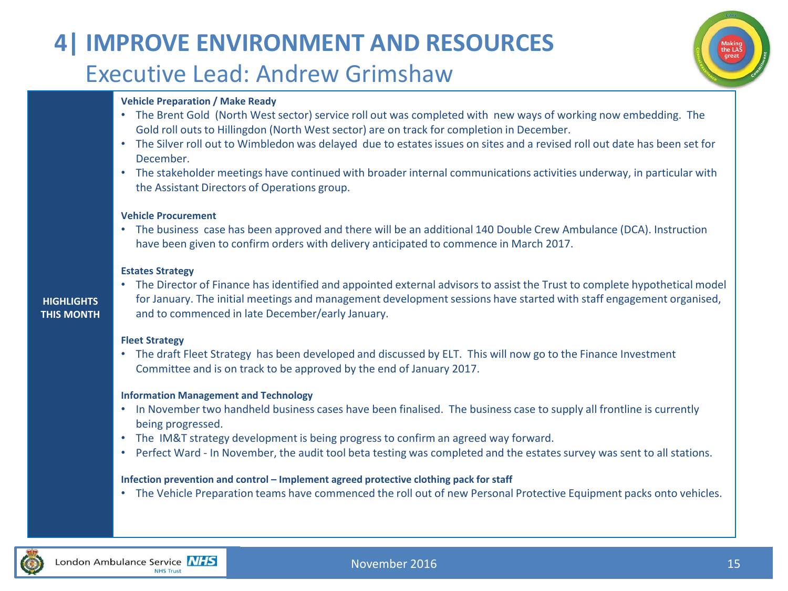### **4| IMPROVE ENVIRONMENT AND RESOURCES** Executive Lead: Andrew Grimshaw



#### **Vehicle Preparation / Make Ready**

- The Brent Gold (North West sector) service roll out was completed with new ways of working now embedding. The Gold roll outs to Hillingdon (North West sector) are on track for completion in December.
- The Silver roll out to Wimbledon was delayed due to estates issues on sites and a revised roll out date has been set for December.
- The stakeholder meetings have continued with broader internal communications activities underway, in particular with the Assistant Directors of Operations group.

#### **Vehicle Procurement**

• The business case has been approved and there will be an additional 140 Double Crew Ambulance (DCA). Instruction have been given to confirm orders with delivery anticipated to commence in March 2017.

#### **Estates Strategy**

#### **HIGHLIGHTS THIS MONTH**

• The Director of Finance has identified and appointed external advisors to assist the Trust to complete hypothetical model for January. The initial meetings and management development sessions have started with staff engagement organised, and to commenced in late December/early January.

#### **Fleet Strategy**

• The draft Fleet Strategy has been developed and discussed by ELT. This will now go to the Finance Investment Committee and is on track to be approved by the end of January 2017.

#### **Information Management and Technology**

- In November two handheld business cases have been finalised. The business case to supply all frontline is currently being progressed.
- The IM&T strategy development is being progress to confirm an agreed way forward.
- Perfect Ward In November, the audit tool beta testing was completed and the estates survey was sent to all stations.

#### **Infection prevention and control – Implement agreed protective clothing pack for staff**

• The Vehicle Preparation teams have commenced the roll out of new Personal Protective Equipment packs onto vehicles.

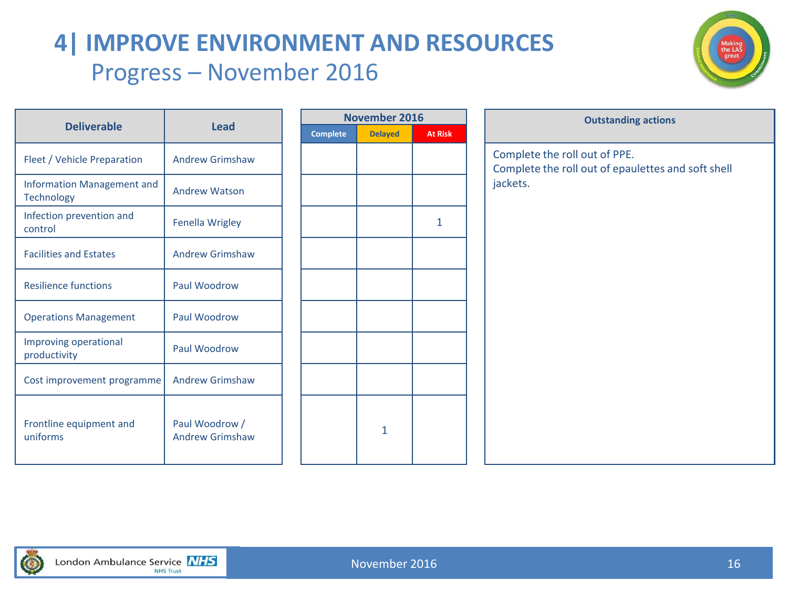# **4| IMPROVE ENVIRONMENT AND RESOURCES** Progress – November 2016



|                                                 |                                          |                 | <b>November 2016</b> |                | Outstanding                                                    |
|-------------------------------------------------|------------------------------------------|-----------------|----------------------|----------------|----------------------------------------------------------------|
| <b>Deliverable</b>                              | <b>Lead</b>                              | <b>Complete</b> | <b>Delayed</b>       | <b>At Risk</b> |                                                                |
| Fleet / Vehicle Preparation                     | <b>Andrew Grimshaw</b>                   |                 |                      |                | Complete the roll out of PPE.<br>Complete the roll out of epau |
| Information Management and<br><b>Technology</b> | <b>Andrew Watson</b>                     |                 |                      |                | jackets.                                                       |
| Infection prevention and<br>control             | <b>Fenella Wrigley</b>                   |                 |                      | 1              |                                                                |
| <b>Facilities and Estates</b>                   | <b>Andrew Grimshaw</b>                   |                 |                      |                |                                                                |
| <b>Resilience functions</b>                     | Paul Woodrow                             |                 |                      |                |                                                                |
| <b>Operations Management</b>                    | Paul Woodrow                             |                 |                      |                |                                                                |
| Improving operational<br>productivity           | Paul Woodrow                             |                 |                      |                |                                                                |
| Cost improvement programme                      | <b>Andrew Grimshaw</b>                   |                 |                      |                |                                                                |
| Frontline equipment and<br>uniforms             | Paul Woodrow /<br><b>Andrew Grimshaw</b> |                 | $\mathbf{1}$         |                |                                                                |

|              | November 2016  |                |          |  |  |  |  |  |  |
|--------------|----------------|----------------|----------|--|--|--|--|--|--|
|              | <b>At Risk</b> | <b>Delayed</b> | Complete |  |  |  |  |  |  |
| $\mathsf{C}$ |                |                |          |  |  |  |  |  |  |
| $\mathsf{C}$ |                |                |          |  |  |  |  |  |  |
| ja           |                |                |          |  |  |  |  |  |  |
|              | $\overline{1}$ |                |          |  |  |  |  |  |  |
|              |                |                |          |  |  |  |  |  |  |
|              |                |                |          |  |  |  |  |  |  |
|              |                |                |          |  |  |  |  |  |  |
|              |                |                |          |  |  |  |  |  |  |
|              |                |                |          |  |  |  |  |  |  |
|              |                |                |          |  |  |  |  |  |  |
|              |                | $\overline{1}$ |          |  |  |  |  |  |  |
|              |                |                |          |  |  |  |  |  |  |

| <b>Outstanding actions</b>                         |  |  |  |  |  |  |
|----------------------------------------------------|--|--|--|--|--|--|
|                                                    |  |  |  |  |  |  |
|                                                    |  |  |  |  |  |  |
| Complete the roll out of epaulettes and soft shell |  |  |  |  |  |  |
|                                                    |  |  |  |  |  |  |
|                                                    |  |  |  |  |  |  |
|                                                    |  |  |  |  |  |  |
|                                                    |  |  |  |  |  |  |
|                                                    |  |  |  |  |  |  |
|                                                    |  |  |  |  |  |  |
|                                                    |  |  |  |  |  |  |
|                                                    |  |  |  |  |  |  |
|                                                    |  |  |  |  |  |  |
|                                                    |  |  |  |  |  |  |
|                                                    |  |  |  |  |  |  |
|                                                    |  |  |  |  |  |  |
|                                                    |  |  |  |  |  |  |
|                                                    |  |  |  |  |  |  |
|                                                    |  |  |  |  |  |  |

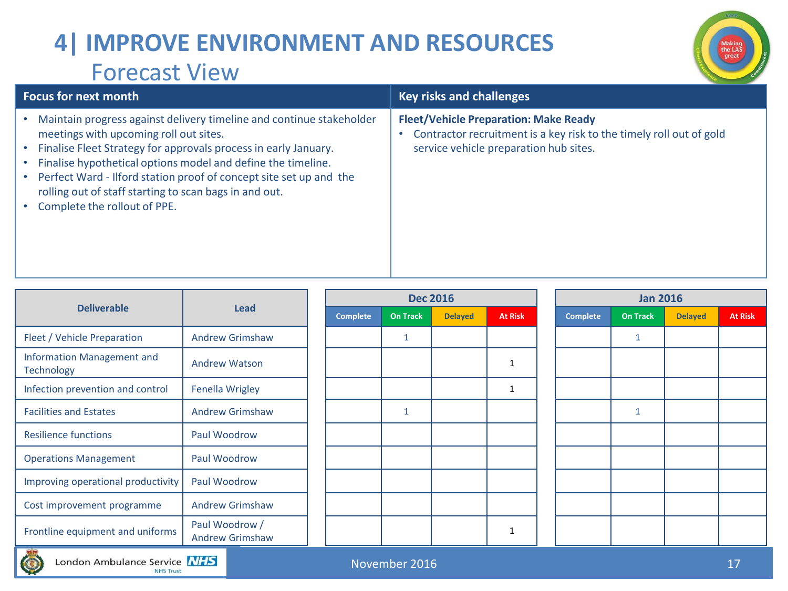# **4| IMPROVE ENVIRONMENT AND RESOURCES** Forecast View



| I VILLUJL VILVV                                                                                                                                                                                                                                                                                                                                                                                                   |                                                                                                                                                               |
|-------------------------------------------------------------------------------------------------------------------------------------------------------------------------------------------------------------------------------------------------------------------------------------------------------------------------------------------------------------------------------------------------------------------|---------------------------------------------------------------------------------------------------------------------------------------------------------------|
| <b>Focus for next month</b>                                                                                                                                                                                                                                                                                                                                                                                       | <b>Key risks and challenges</b>                                                                                                                               |
| Maintain progress against delivery timeline and continue stakeholder<br>meetings with upcoming roll out sites.<br>Finalise Fleet Strategy for approvals process in early January.<br>Finalise hypothetical options model and define the timeline.<br>Perfect Ward - Ilford station proof of concept site set up and the<br>rolling out of staff starting to scan bags in and out.<br>Complete the rollout of PPE. | <b>Fleet/Vehicle Preparation: Make Ready</b><br>Contractor recruitment is a key risk to the timely roll out of gold<br>service vehicle preparation hub sites. |
|                                                                                                                                                                                                                                                                                                                                                                                                                   |                                                                                                                                                               |

|                                                        |                                          |  |          | <b>Dec 2016</b> |                |                | <b>Jan 2016</b> |                 |                |                |  |
|--------------------------------------------------------|------------------------------------------|--|----------|-----------------|----------------|----------------|-----------------|-----------------|----------------|----------------|--|
| <b>Deliverable</b>                                     | <b>Lead</b>                              |  | Complete | <b>On Track</b> | <b>Delayed</b> | <b>At Risk</b> | <b>Complete</b> | <b>On Track</b> | <b>Delayed</b> | <b>At Risk</b> |  |
| Fleet / Vehicle Preparation                            | <b>Andrew Grimshaw</b>                   |  |          | $\mathbf{1}$    |                |                |                 | $\mathbf{1}$    |                |                |  |
| <b>Information Management and</b><br><b>Technology</b> | <b>Andrew Watson</b>                     |  |          |                 |                |                |                 |                 |                |                |  |
| Infection prevention and control                       | <b>Fenella Wrigley</b>                   |  |          |                 |                |                |                 |                 |                |                |  |
| <b>Facilities and Estates</b>                          | <b>Andrew Grimshaw</b>                   |  |          | $\mathbf{1}$    |                |                |                 | $\mathbf{1}$    |                |                |  |
| <b>Resilience functions</b>                            | Paul Woodrow                             |  |          |                 |                |                |                 |                 |                |                |  |
| <b>Operations Management</b>                           | Paul Woodrow                             |  |          |                 |                |                |                 |                 |                |                |  |
| Improving operational productivity                     | Paul Woodrow                             |  |          |                 |                |                |                 |                 |                |                |  |
| Cost improvement programme                             | <b>Andrew Grimshaw</b>                   |  |          |                 |                |                |                 |                 |                |                |  |
| Frontline equipment and uniforms                       | Paul Woodrow /<br><b>Andrew Grimshaw</b> |  |          |                 |                |                |                 |                 |                |                |  |

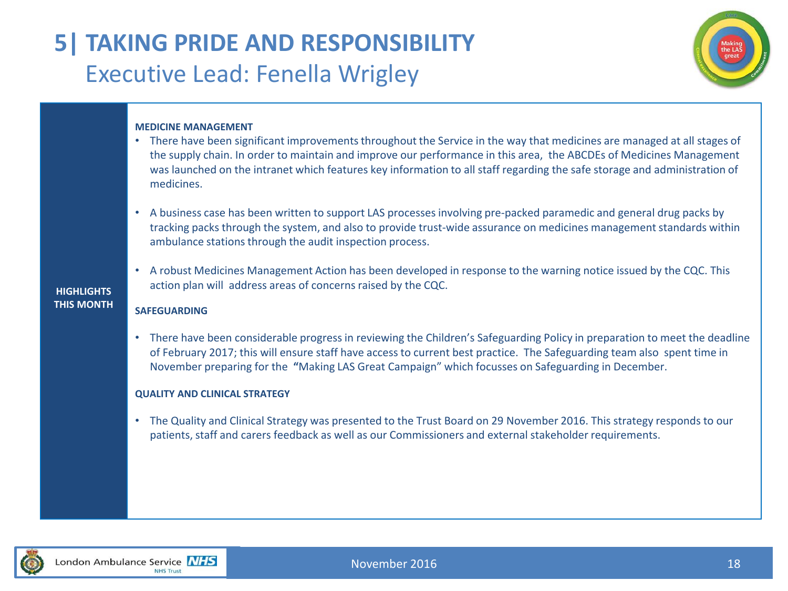### **5| TAKING PRIDE AND RESPONSIBILITY** Executive Lead: Fenella Wrigley



#### **MEDICINE MANAGEMENT**

- There have been significant improvements throughout the Service in the way that medicines are managed at all stages of the supply chain. In order to maintain and improve our performance in this area, the ABCDEs of Medicines Management was launched on the intranet which features key information to all staff regarding the safe storage and administration of medicines.
- A business case has been written to support LAS processes involving pre-packed paramedic and general drug packs by tracking packs through the system, and also to provide trust-wide assurance on medicines management standards within ambulance stations through the audit inspection process.
- A robust Medicines Management Action has been developed in response to the warning notice issued by the CQC. This action plan will address areas of concerns raised by the CQC.

#### **SAFEGUARDING**

**HIGHLIGHTS THIS MONTH**

> • There have been considerable progress in reviewing the Children's Safeguarding Policy in preparation to meet the deadline of February 2017; this will ensure staff have access to current best practice. The Safeguarding team also spent time in November preparing for the **"**Making LAS Great Campaign" which focusses on Safeguarding in December.

#### **QUALITY AND CLINICAL STRATEGY**

• The Quality and Clinical Strategy was presented to the Trust Board on 29 November 2016. This strategy responds to our patients, staff and carers feedback as well as our Commissioners and external stakeholder requirements.

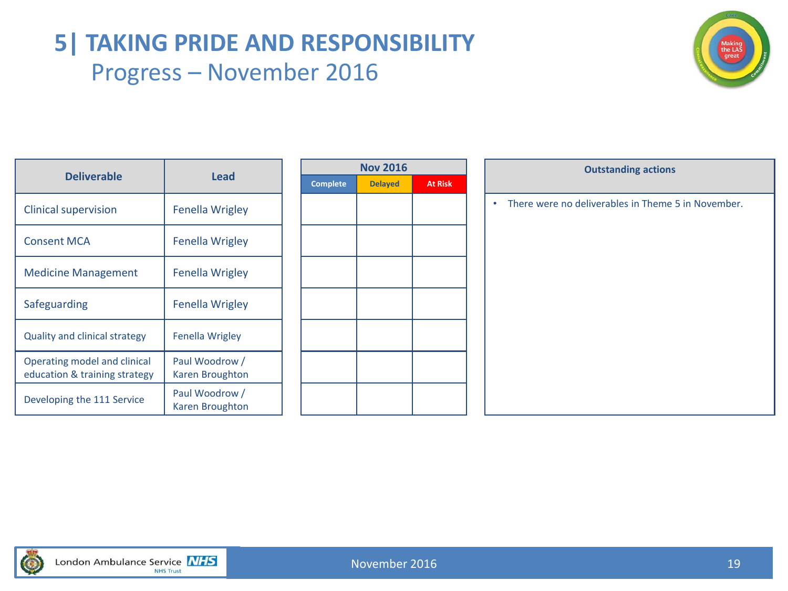### **5| TAKING PRIDE AND RESPONSIBILITY** Progress – November 2016



| <b>Deliverable</b>                                            | Lead                              |
|---------------------------------------------------------------|-----------------------------------|
| <b>Clinical supervision</b>                                   | Fenella Wrigley                   |
| <b>Consent MCA</b>                                            | Fenella Wrigley                   |
| <b>Medicine Management</b>                                    | Fenella Wrigley                   |
| Safeguarding                                                  | Fenella Wrigley                   |
| <b>Quality and clinical strategy</b>                          | Fenella Wrigley                   |
| Operating model and clinical<br>education & training strategy | Paul Woodrow /<br>Karen Broughton |
| Developing the 111 Service                                    | Paul Woodrow /<br>Karen Broughton |

| <b>Nov 2016</b> |                |                |  |  |  |  |  |
|-----------------|----------------|----------------|--|--|--|--|--|
| <b>Complete</b> | <b>Delayed</b> | <b>At Risk</b> |  |  |  |  |  |
|                 |                |                |  |  |  |  |  |
|                 |                |                |  |  |  |  |  |
|                 |                |                |  |  |  |  |  |
|                 |                |                |  |  |  |  |  |
|                 |                |                |  |  |  |  |  |
|                 |                |                |  |  |  |  |  |
|                 |                |                |  |  |  |  |  |
|                 |                |                |  |  |  |  |  |
|                 |                |                |  |  |  |  |  |
|                 |                |                |  |  |  |  |  |
|                 |                |                |  |  |  |  |  |
|                 |                |                |  |  |  |  |  |
|                 |                |                |  |  |  |  |  |

|                                                               |                                   | <b>Nov 2016</b> |                |                | <b>Outstanding actions</b>                         |
|---------------------------------------------------------------|-----------------------------------|-----------------|----------------|----------------|----------------------------------------------------|
| <b>Deliverable</b>                                            | <b>Lead</b>                       | <b>Complete</b> | <b>Delayed</b> | <b>At Risk</b> |                                                    |
| <b>Clinical supervision</b>                                   | <b>Fenella Wrigley</b>            |                 |                |                | There were no deliverables in Theme 5 in November. |
| <b>Consent MCA</b>                                            | <b>Fenella Wrigley</b>            |                 |                |                |                                                    |
| <b>Medicine Management</b>                                    | <b>Fenella Wrigley</b>            |                 |                |                |                                                    |
| <b>Safeguarding</b>                                           | <b>Fenella Wrigley</b>            |                 |                |                |                                                    |
| <b>Quality and clinical strategy</b>                          | Fenella Wrigley                   |                 |                |                |                                                    |
| Operating model and clinical<br>education & training strategy | Paul Woodrow /<br>Karen Broughton |                 |                |                |                                                    |
| Developing the 111 Service                                    | Paul Woodrow /<br>Karen Broughton |                 |                |                |                                                    |